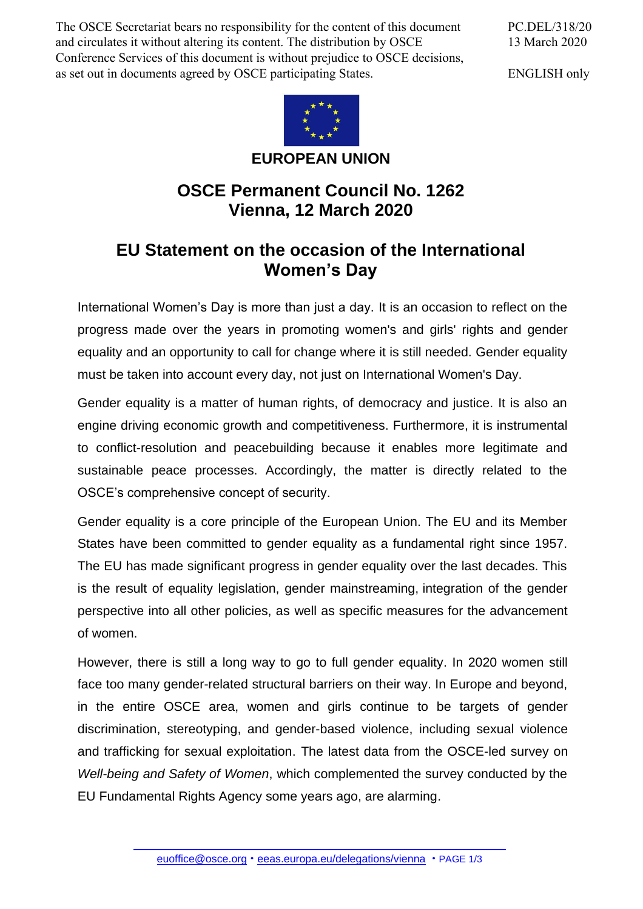The OSCE Secretariat bears no responsibility for the content of this document and circulates it without altering its content. The distribution by OSCE Conference Services of this document is without prejudice to OSCE decisions, as set out in documents agreed by OSCE participating States.

PC.DEL/318/20 13 March 2020

ENGLISH only



## **EUROPEAN UNION**

## **OSCE Permanent Council No. 1262 Vienna, 12 March 2020**

## **EU Statement on the occasion of the International Women's Day**

International Women's Day is more than just a day. It is an occasion to reflect on the progress made over the years in promoting women's and girls' rights and gender equality and an opportunity to call for change where it is still needed. Gender equality must be taken into account every day, not just on International Women's Day.

Gender equality is a matter of human rights, of democracy and justice. It is also an engine driving economic growth and competitiveness. Furthermore, it is instrumental to conflict-resolution and peacebuilding because it enables more legitimate and sustainable peace processes. Accordingly, the matter is directly related to the OSCE's comprehensive concept of security.

Gender equality is a core principle of the European Union. The EU and its Member States have been committed to gender equality as a fundamental right since 1957. The EU has made significant progress in gender equality over the last decades. This is the result of equality legislation, gender mainstreaming, integration of the gender perspective into all other policies, as well as specific measures for the advancement of women.

However, there is still a long way to go to full gender equality. In 2020 women still face too many gender-related structural barriers on their way. In Europe and beyond, in the entire OSCE area, women and girls continue to be targets of gender discrimination, stereotyping, and gender-based violence, including sexual violence and trafficking for sexual exploitation. The latest data from the OSCE-led survey on *Well-being and Safety of Women*, which complemented the survey conducted by the EU Fundamental Rights Agency some years ago, are alarming.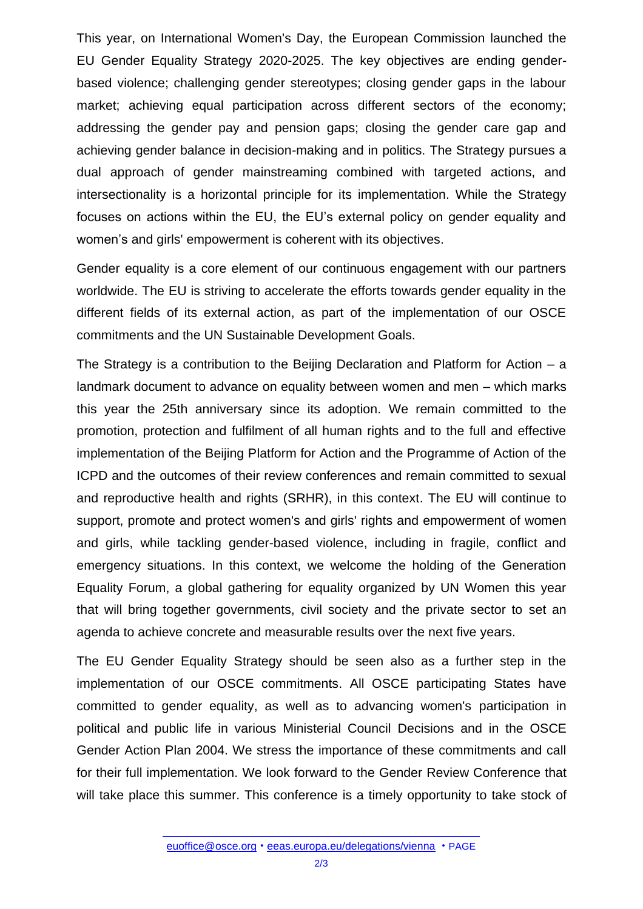This year, on International Women's Day, the European Commission launched the EU Gender Equality Strategy 2020-2025. The key objectives are ending genderbased violence; challenging gender stereotypes; closing gender gaps in the labour market; achieving equal participation across different sectors of the economy; addressing the gender pay and pension gaps; closing the gender care gap and achieving gender balance in decision-making and in politics. The Strategy pursues a dual approach of gender mainstreaming combined with targeted actions, and intersectionality is a horizontal principle for its implementation. While the Strategy focuses on actions within the EU, the EU's external policy on gender equality and women's and girls' empowerment is coherent with its objectives.

Gender equality is a core element of our continuous engagement with our partners worldwide. The EU is striving to accelerate the efforts towards gender equality in the different fields of its external action, as part of the implementation of our OSCE commitments and the UN Sustainable Development Goals.

The Strategy is a contribution to the Beijing Declaration and Platform for Action – a landmark document to advance on equality between women and men – which marks this year the 25th anniversary since its adoption. We remain committed to the promotion, protection and fulfilment of all human rights and to the full and effective implementation of the Beijing Platform for Action and the Programme of Action of the ICPD and the outcomes of their review conferences and remain committed to sexual and reproductive health and rights (SRHR), in this context. The EU will continue to support, promote and protect women's and girls' rights and empowerment of women and girls, while tackling gender-based violence, including in fragile, conflict and emergency situations. In this context, we welcome the holding of the Generation Equality Forum, a global gathering for equality organized by UN Women this year that will bring together governments, civil society and the private sector to set an agenda to achieve concrete and measurable results over the next five years.

The EU Gender Equality Strategy should be seen also as a further step in the implementation of our OSCE commitments. All OSCE participating States have committed to gender equality, as well as to advancing women's participation in political and public life in various Ministerial Council Decisions and in the OSCE Gender Action Plan 2004. We stress the importance of these commitments and call for their full implementation. We look forward to the Gender Review Conference that will take place this summer. This conference is a timely opportunity to take stock of